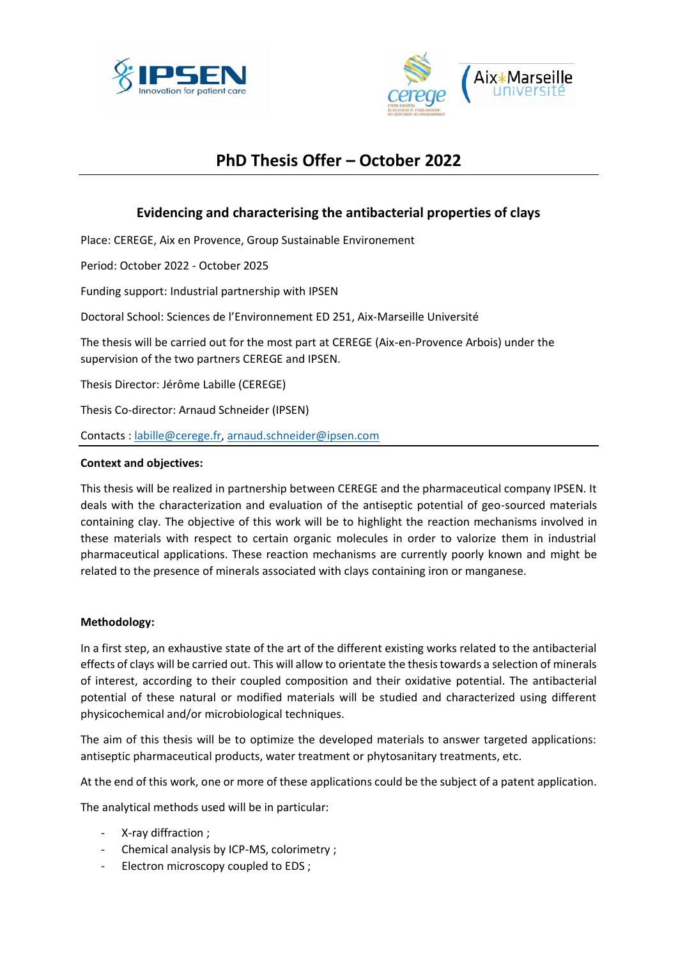



# **PhD Thesis Offer – October 2022**

# **Evidencing and characterising the antibacterial properties of clays**

Place: CEREGE, Aix en Provence, Group Sustainable Environement

Period: October 2022 - October 2025

Funding support: Industrial partnership with IPSEN

Doctoral School: Sciences de l'Environnement ED 251, Aix-Marseille Université

The thesis will be carried out for the most part at CEREGE (Aix-en-Provence Arbois) under the supervision of the two partners CEREGE and IPSEN.

Thesis Director: Jérôme Labille (CEREGE)

Thesis Co-director: Arnaud Schneider (IPSEN)

Contacts : [labille@cerege.fr,](mailto:labille@cerege.fr) [arnaud.schneider@ipsen.com](mailto:arnaud.schneider@ipsen.com)

#### **Context and objectives:**

This thesis will be realized in partnership between CEREGE and the pharmaceutical company IPSEN. It deals with the characterization and evaluation of the antiseptic potential of geo-sourced materials containing clay. The objective of this work will be to highlight the reaction mechanisms involved in these materials with respect to certain organic molecules in order to valorize them in industrial pharmaceutical applications. These reaction mechanisms are currently poorly known and might be related to the presence of minerals associated with clays containing iron or manganese.

#### **Methodology:**

In a first step, an exhaustive state of the art of the different existing works related to the antibacterial effects of clays will be carried out. This will allow to orientate the thesis towards a selection of minerals of interest, according to their coupled composition and their oxidative potential. The antibacterial potential of these natural or modified materials will be studied and characterized using different physicochemical and/or microbiological techniques.

The aim of this thesis will be to optimize the developed materials to answer targeted applications: antiseptic pharmaceutical products, water treatment or phytosanitary treatments, etc.

At the end of this work, one or more of these applications could be the subject of a patent application.

The analytical methods used will be in particular:

- X-ray diffraction ;
- Chemical analysis by ICP-MS, colorimetry ;
- Electron microscopy coupled to EDS ;